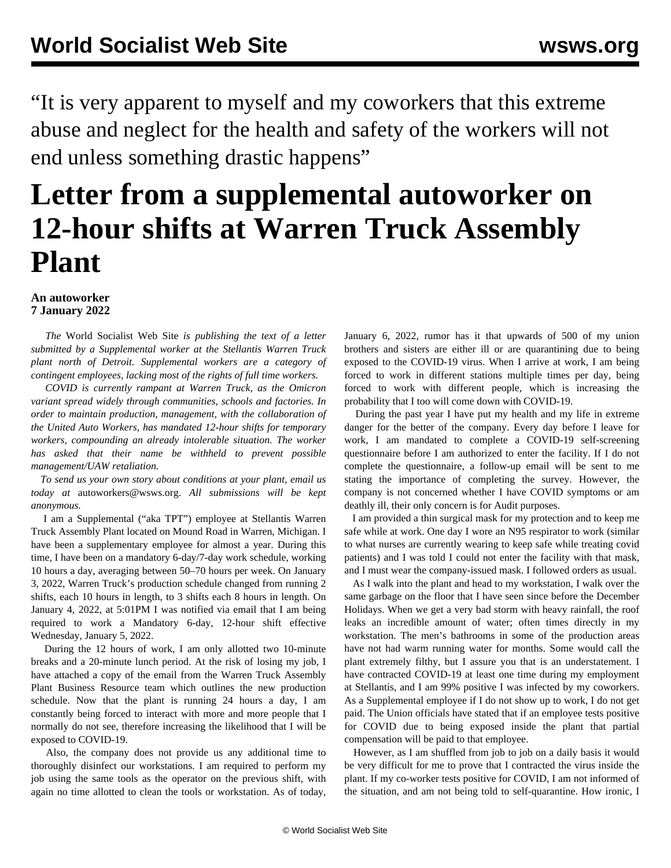"It is very apparent to myself and my coworkers that this extreme abuse and neglect for the health and safety of the workers will not end unless something drastic happens"

## **Letter from a supplemental autoworker on 12-hour shifts at Warren Truck Assembly Plant**

## **An autoworker 7 January 2022**

 *The* World Socialist Web Site *is publishing the text of a letter submitted by a Supplemental worker at the Stellantis Warren Truck plant north of Detroit. Supplemental workers are a category of contingent employees, lacking most of the rights of full time workers.*

 *COVID is currently rampant at Warren Truck, as the Omicron variant spread widely through communities, schools and factories. In order to maintain production, management, with the collaboration of the United Auto Workers, has mandated 12-hour shifts for temporary workers, compounding an already intolerable situation. The worker has asked that their name be withheld to prevent possible management/UAW retaliation.*

 *To send us your own story about conditions at your plant, email us today at* [autoworkers@wsws.org](mailto:autoworkers@wsws.org). *All submissions will be kept anonymous.*

 I am a Supplemental ("aka TPT") employee at Stellantis Warren Truck Assembly Plant located on Mound Road in Warren, Michigan. I have been a supplementary employee for almost a year. During this time, I have been on a mandatory 6-day/7-day work schedule, working 10 hours a day, averaging between 50–70 hours per week. On January 3, 2022, Warren Truck's production schedule changed from running 2 shifts, each 10 hours in length, to 3 shifts each 8 hours in length. On January 4, 2022, at 5:01PM I was notified via email that I am being required to work a Mandatory 6-day, 12-hour shift effective Wednesday, January 5, 2022.

 During the 12 hours of work, I am only allotted two 10-minute breaks and a 20-minute lunch period. At the risk of losing my job, I have attached a copy of the email from the Warren Truck Assembly Plant Business Resource team which outlines the new production schedule. Now that the plant is running 24 hours a day, I am constantly being forced to interact with more and more people that I normally do not see, therefore increasing the likelihood that I will be exposed to COVID-19.

 Also, the company does not provide us any additional time to thoroughly disinfect our workstations. I am required to perform my job using the same tools as the operator on the previous shift, with again no time allotted to clean the tools or workstation. As of today, January 6, 2022, rumor has it that upwards of 500 of my union brothers and sisters are either ill or are quarantining due to being exposed to the COVID-19 virus. When I arrive at work, I am being forced to work in different stations multiple times per day, being forced to work with different people, which is increasing the probability that I too will come down with COVID-19.

 During the past year I have put my health and my life in extreme danger for the better of the company. Every day before I leave for work, I am mandated to complete a COVID-19 self-screening questionnaire before I am authorized to enter the facility. If I do not complete the questionnaire, a follow-up email will be sent to me stating the importance of completing the survey. However, the company is not concerned whether I have COVID symptoms or am deathly ill, their only concern is for Audit purposes.

 I am provided a thin surgical mask for my protection and to keep me safe while at work. One day I wore an N95 respirator to work (similar to what nurses are currently wearing to keep safe while treating covid patients) and I was told I could not enter the facility with that mask, and I must wear the company-issued mask. I followed orders as usual.

 As I walk into the plant and head to my workstation, I walk over the same garbage on the floor that I have seen since before the December Holidays. When we get a very bad storm with heavy rainfall, the roof leaks an incredible amount of water; often times directly in my workstation. The men's bathrooms in some of the production areas have not had warm running water for months. Some would call the plant extremely filthy, but I assure you that is an understatement. I have contracted COVID-19 at least one time during my employment at Stellantis, and I am 99% positive I was infected by my coworkers. As a Supplemental employee if I do not show up to work, I do not get paid. The Union officials have stated that if an employee tests positive for COVID due to being exposed inside the plant that partial compensation will be paid to that employee.

 However, as I am shuffled from job to job on a daily basis it would be very difficult for me to prove that I contracted the virus inside the plant. If my co-worker tests positive for COVID, I am not informed of the situation, and am not being told to self-quarantine. How ironic, I